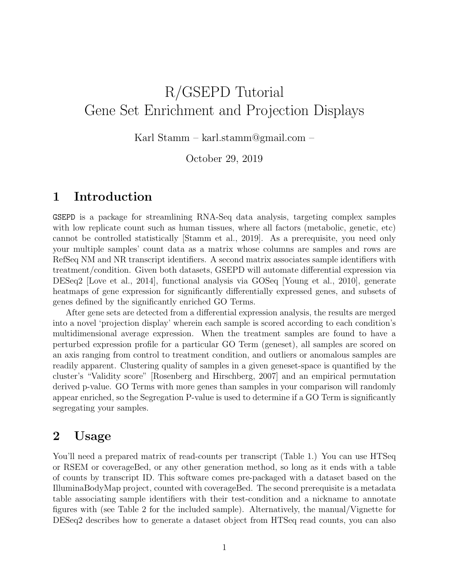# R/GSEPD Tutorial Gene Set Enrichment and Projection Displays

Karl Stamm – karl.stamm@gmail.com –

October 29, 2019

### 1 Introduction

GSEPD is a package for streamlining RNA-Seq data analysis, targeting complex samples with low replicate count such as human tissues, where all factors (metabolic, genetic, etc) cannot be controlled statistically [Stamm et al., 2019]. As a prerequisite, you need only your multiple samples' count data as a matrix whose columns are samples and rows are RefSeq NM and NR transcript identifiers. A second matrix associates sample identifiers with treatment/condition. Given both datasets, GSEPD will automate differential expression via DESeq2 [Love et al., 2014], functional analysis via GOSeq [Young et al., 2010], generate heatmaps of gene expression for significantly differentially expressed genes, and subsets of genes defined by the significantly enriched GO Terms.

After gene sets are detected from a differential expression analysis, the results are merged into a novel 'projection display' wherein each sample is scored according to each condition's multidimensional average expression. When the treatment samples are found to have a perturbed expression profile for a particular GO Term (geneset), all samples are scored on an axis ranging from control to treatment condition, and outliers or anomalous samples are readily apparent. Clustering quality of samples in a given geneset-space is quantified by the cluster's "Validity score" [Rosenberg and Hirschberg, 2007] and an empirical permutation derived p-value. GO Terms with more genes than samples in your comparison will randomly appear enriched, so the Segregation P-value is used to determine if a GO Term is significantly segregating your samples.

### 2 Usage

You'll need a prepared matrix of read-counts per transcript (Table 1.) You can use HTSeq or RSEM or coverageBed, or any other generation method, so long as it ends with a table of counts by transcript ID. This software comes pre-packaged with a dataset based on the IlluminaBodyMap project, counted with coverageBed. The second prerequisite is a metadata table associating sample identifiers with their test-condition and a nickname to annotate figures with (see Table 2 for the included sample). Alternatively, the manual/Vignette for DESeq2 describes how to generate a dataset object from HTSeq read counts, you can also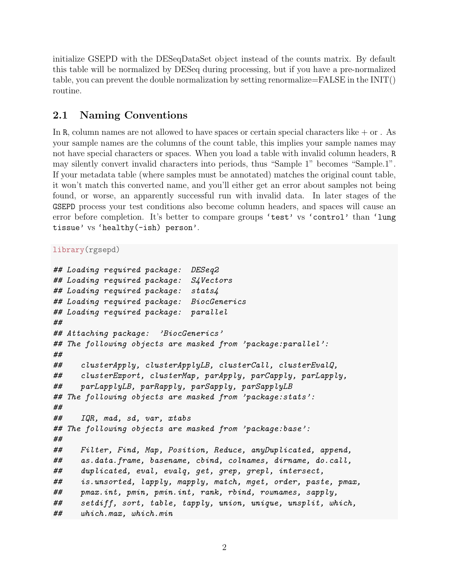initialize GSEPD with the DESeqDataSet object instead of the counts matrix. By default this table will be normalized by DESeq during processing, but if you have a pre-normalized table, you can prevent the double normalization by setting renormalize=FALSE in the INIT() routine.

### 2.1 Naming Conventions

In R, column names are not allowed to have spaces or certain special characters like  $+$  or . As your sample names are the columns of the count table, this implies your sample names may not have special characters or spaces. When you load a table with invalid column headers, R may silently convert invalid characters into periods, thus "Sample 1" becomes "Sample.1". If your metadata table (where samples must be annotated) matches the original count table, it won't match this converted name, and you'll either get an error about samples not being found, or worse, an apparently successful run with invalid data. In later stages of the GSEPD process your test conditions also become column headers, and spaces will cause an error before completion. It's better to compare groups 'test' vs 'control' than 'lung tissue' vs 'healthy(-ish) person'.

```
library(rgsepd)
```

```
## Loading required package: DESeq2
## Loading required package: S4Vectors
## Loading required package: stats4
## Loading required package: BiocGenerics
## Loading required package: parallel
##
## Attaching package: 'BiocGenerics'
## The following objects are masked from 'package:parallel':
##
## clusterApply, clusterApplyLB, clusterCall, clusterEvalQ,
## clusterExport, clusterMap, parApply, parCapply, parLapply,
## parLapplyLB, parRapply, parSapply, parSapplyLB
## The following objects are masked from 'package:stats':
##
## IQR, mad, sd, var, xtabs
## The following objects are masked from 'package:base':
##
## Filter, Find, Map, Position, Reduce, anyDuplicated, append,
## as.data.frame, basename, cbind, colnames, dirname, do.call,
## duplicated, eval, evalq, get, grep, grepl, intersect,
## is.unsorted, lapply, mapply, match, mget, order, paste, pmax,
## pmax.int, pmin, pmin.int, rank, rbind, rownames, sapply,
## setdiff, sort, table, tapply, union, unique, unsplit, which,
## which.max, which.min
```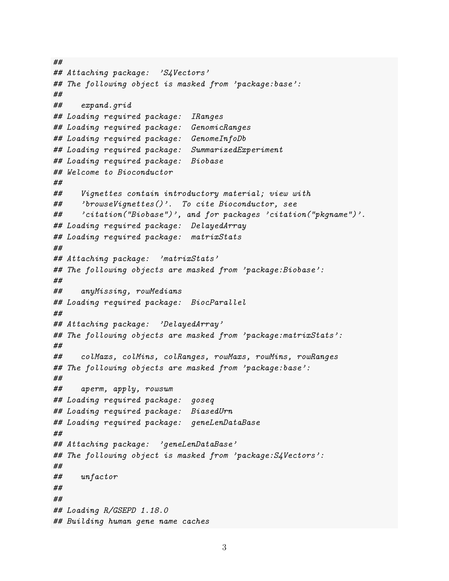```
##
## Attaching package: 'S4Vectors'
## The following object is masked from 'package:base':
##
## expand.grid
## Loading required package: IRanges
## Loading required package: GenomicRanges
## Loading required package: GenomeInfoDb
## Loading required package: SummarizedExperiment
## Loading required package: Biobase
## Welcome to Bioconductor
##
## Vignettes contain introductory material; view with
## 'browseVignettes()'. To cite Bioconductor, see
## 'citation("Biobase")', and for packages 'citation("pkgname")'.
## Loading required package: DelayedArray
## Loading required package: matrixStats
##
## Attaching package: 'matrixStats'
## The following objects are masked from 'package:Biobase':
##
## anyMissing, rowMedians
## Loading required package: BiocParallel
##
## Attaching package: 'DelayedArray'
## The following objects are masked from 'package:matrixStats':
##
## colMaxs, colMins, colRanges, rowMaxs, rowMins, rowRanges
## The following objects are masked from 'package:base':
##
## aperm, apply, rowsum
## Loading required package: goseq
## Loading required package: BiasedUrn
## Loading required package: geneLenDataBase
##
## Attaching package: 'geneLenDataBase'
## The following object is masked from 'package:S4Vectors':
##
## unfactor
##
##
## Loading R/GSEPD 1.18.0
## Building human gene name caches
```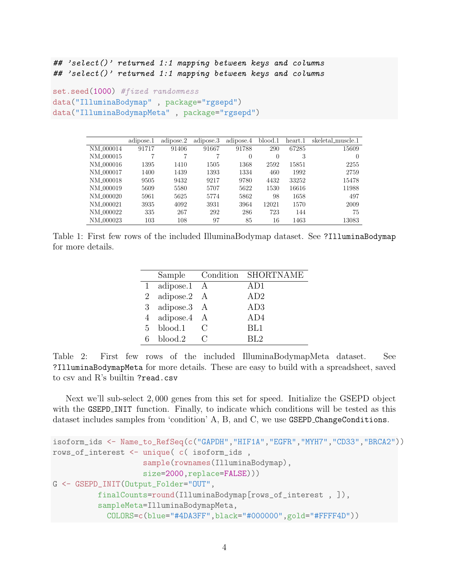## 'select()' returned 1:1 mapping between keys and columns ## 'select()' returned 1:1 mapping between keys and columns

```
set.seed(1000) #fixed randomness
data("IlluminaBodymap" , package="rgsepd")
data("IlluminaBodymapMeta" , package="rgsepd")
```

|                       | adipose.1 | adipose.2 | adipose.3 | adipose.4 | blood.1 | heart.1 | skeletal_muscle.1 |
|-----------------------|-----------|-----------|-----------|-----------|---------|---------|-------------------|
| NM <sub>-000014</sub> | 91717     | 91406     | 91667     | 91788     | 290     | 67285   | 15609             |
| NM <sub>-000015</sub> | 7         |           |           | $\theta$  | 0       | 3       | 0                 |
| NM <sub>-000016</sub> | 1395      | 1410      | 1505      | 1368      | 2592    | 15851   | 2255              |
| NM <sub>-000017</sub> | 1400      | 1439      | 1393      | 1334      | 460     | 1992    | 2759              |
| NM <sub>-000018</sub> | 9505      | 9432      | 9217      | 9780      | 4432    | 33252   | 15478             |
| NM <sub>-000019</sub> | 5609      | 5580      | 5707      | 5622      | 1530    | 16616   | 11988             |
| NM <sub>-000020</sub> | 5961      | 5625      | 5774      | 5862      | 98      | 1658    | 497               |
| NM <sub>-000021</sub> | 3935      | 4092      | 3931      | 3964      | 12021   | 1570    | 2009              |
| NM <sub>-000022</sub> | 335       | 267       | 292       | 286       | 723     | 144     | 75                |
| NM <sub>-000023</sub> | 103       | 108       | 97        | 85        | 16      | 1463    | 13083             |

Table 1: First few rows of the included IlluminaBodymap dataset. See ?IlluminaBodymap for more details.

|    |               |   | Sample Condition SHORTNAME |
|----|---------------|---|----------------------------|
|    | 1 adipose.1 A |   | AD1                        |
| 2  | adipose.2 A   |   | AD2                        |
|    | 3 adipose.3   | A | AD3                        |
|    | 4 adipose.4 A |   | AD4                        |
| 5. | blood.1       |   | BL1                        |
|    | blood.2       |   | RL2                        |

Table 2: First few rows of the included IlluminaBodymapMeta dataset. See ?IlluminaBodymapMeta for more details. These are easy to build with a spreadsheet, saved to csv and R's builtin ?read.csv

Next we'll sub-select 2, 000 genes from this set for speed. Initialize the GSEPD object with the GSEPD\_INIT function. Finally, to indicate which conditions will be tested as this dataset includes samples from 'condition' A, B, and C, we use GSEPD ChangeConditions.

```
isoform_ids <- Name_to_RefSeq(c("GAPDH","HIF1A","EGFR","MYH7","CD33","BRCA2"))
rows_of_interest <- unique( c( isoform_ids ,
                    sample(rownames(IlluminaBodymap),
                    size=2000,replace=FALSE)))
G <- GSEPD_INIT(Output_Folder="OUT",
          finalCounts=round(IlluminaBodymap[rows_of_interest , ]),
          sampleMeta=IlluminaBodymapMeta,
            COLORS=c(blue="#4DA3FF",black="#000000",gold="#FFFF4D"))
```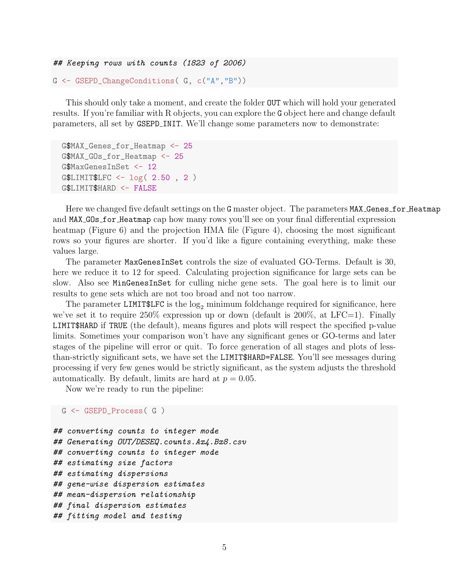```
## Keeping rows with counts (1823 of 2006)
```

```
G <- GSEPD_ChangeConditions( G, c("A","B"))
```
This should only take a moment, and create the folder OUT which will hold your generated results. If you're familiar with R objects, you can explore the G object here and change default parameters, all set by GSEPD INIT. We'll change some parameters now to demonstrate:

```
G$MAX_Genes_for_Heatmap <- 25
G$MAX_GOs_for_Heatmap <- 25
G$MaxGenesInSet <- 12
G$LIMIT$LFC <- log( 2.50 , 2 )
G$LIMIT$HARD <- FALSE
```
Here we changed five default settings on the G master object. The parameters MAX\_Genes\_for\_Heatmap and MAX GOs for Heatmap cap how many rows you'll see on your final differential expression heatmap (Figure 6) and the projection HMA file (Figure 4), choosing the most significant rows so your figures are shorter. If you'd like a figure containing everything, make these values large.

The parameter MaxGenesInSet controls the size of evaluated GO-Terms. Default is 30, here we reduce it to 12 for speed. Calculating projection significance for large sets can be slow. Also see MinGenesInSet for culling niche gene sets. The goal here is to limit our results to gene sets which are not too broad and not too narrow.

The parameter LIMIT \$LFC is the  $log_2$  minimum foldchange required for significance, here we've set it to require  $250\%$  expression up or down (default is  $200\%$ , at LFC=1). Finally LIMIT\$HARD if TRUE (the default), means figures and plots will respect the specified p-value limits. Sometimes your comparison won't have any significant genes or GO-terms and later stages of the pipeline will error or quit. To force generation of all stages and plots of lessthan-strictly significant sets, we have set the LIMIT\$HARD=FALSE. You'll see messages during processing if very few genes would be strictly significant, as the system adjusts the threshold automatically. By default, limits are hard at  $p = 0.05$ .

Now we're ready to run the pipeline:

```
G <- GSEPD_Process( G )
```

```
## converting counts to integer mode
## Generating OUT/DESEQ.counts.Ax4.Bx8.csv
## converting counts to integer mode
## estimating size factors
## estimating dispersions
## gene-wise dispersion estimates
## mean-dispersion relationship
## final dispersion estimates
## fitting model and testing
```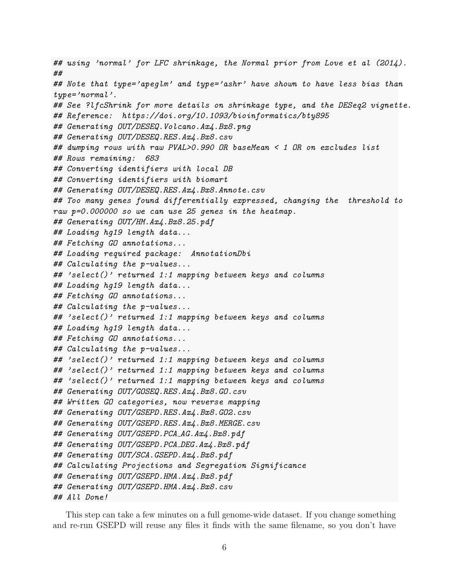## using 'normal' for LFC shrinkage, the Normal prior from Love et al (2014). ## ## Note that type='apeglm' and type='ashr' have shown to have less bias than  $type='normal'$ . ## See ?lfcShrink for more details on shrinkage type, and the DESeq2 vignette. ## Reference: https://doi.org/10.1093/bioinformatics/bty895 ## Generating OUT/DESEQ.Volcano.Ax4.Bx8.png ## Generating OUT/DESEQ.RES.Ax4.Bx8.csv ## dumping rows with raw PVAL>0.990 OR baseMean < 1 OR on excludes list ## Rows remaining: 683 ## Converting identifiers with local DB ## Converting identifiers with biomart ## Generating OUT/DESEQ.RES.Ax4.Bx8.Annote.csv ## Too many genes found differentially expressed, changing the threshold to raw p=0.000000 so we can use 25 genes in the heatmap. ## Generating OUT/HM.Ax4.Bx8.25.pdf ## Loading hg19 length data... ## Fetching GO annotations... ## Loading required package: AnnotationDbi ## Calculating the p-values... ## 'select()' returned 1:1 mapping between keys and columns ## Loading hg19 length data... ## Fetching GO annotations... ## Calculating the p-values... ## 'select()' returned 1:1 mapping between keys and columns ## Loading hg19 length data... ## Fetching GO annotations... ## Calculating the p-values... ## 'select()' returned 1:1 mapping between keys and columns ## 'select()' returned 1:1 mapping between keys and columns ## 'select()' returned 1:1 mapping between keys and columns ## Generating OUT/GOSEQ.RES.Ax4.Bx8.GO.csv ## Written GO categories, now reverse mapping ## Generating OUT/GSEPD.RES.Ax4.Bx8.GO2.csv ## Generating OUT/GSEPD.RES.Ax4.Bx8.MERGE.csv ## Generating OUT/GSEPD.PCA\_AG.Ax4.Bx8.pdf ## Generating OUT/GSEPD.PCA DEG.Ax4.Bx8.pdf ## Generating OUT/SCA.GSEPD.Ax4.Bx8.pdf ## Calculating Projections and Segregation Significance ## Generating OUT/GSEPD.HMA.Ax4.Bx8.pdf ## Generating OUT/GSEPD.HMA.Ax4.Bx8.csv ## All Done!

This step can take a few minutes on a full genome-wide dataset. If you change something and re-run GSEPD will reuse any files it finds with the same filename, so you don't have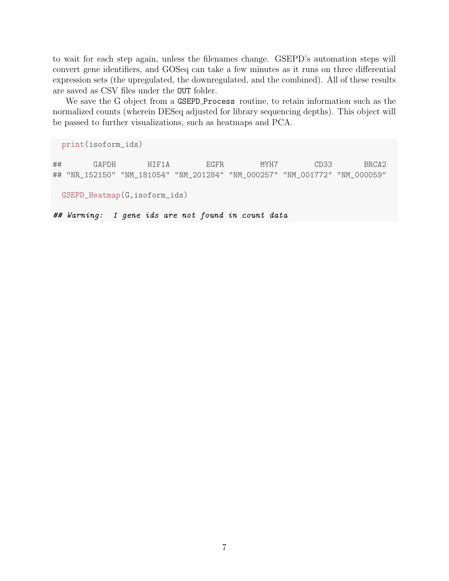to wait for each step again, unless the filenames change. GSEPD's automation steps will convert gene identifiers, and GOSeq can take a few minutes as it runs on three differential expression sets (the upregulated, the downregulated, and the combined). All of these results are saved as CSV files under the OUT folder.

We save the G object from a GSEPD Process routine, to retain information such as the normalized counts (wherein DESeq adjusted for library sequencing depths). This object will be passed to further visualizations, such as heatmaps and PCA.

print(isoform\_ids)

## GAPDH HIF1A EGFR MYH7 CD33 BRCA2 ## "NR\_152150" "NM\_181054" "NM\_201284" "NM\_000257" "NM\_001772" "NM\_000059"

GSEPD\_Heatmap(G,isoform\_ids)

## Warning: 1 gene ids are not found in count data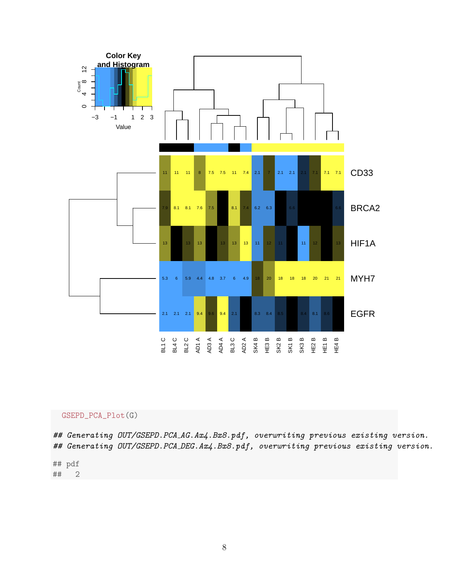

#### GSEPD\_PCA\_Plot(G)

## Generating OUT/GSEPD.PCA\_AG.Ax4.Bx8.pdf, overwriting previous existing version. ## Generating OUT/GSEPD.PCA\_DEG.Ax4.Bx8.pdf, overwriting previous existing version.

## pdf ## 2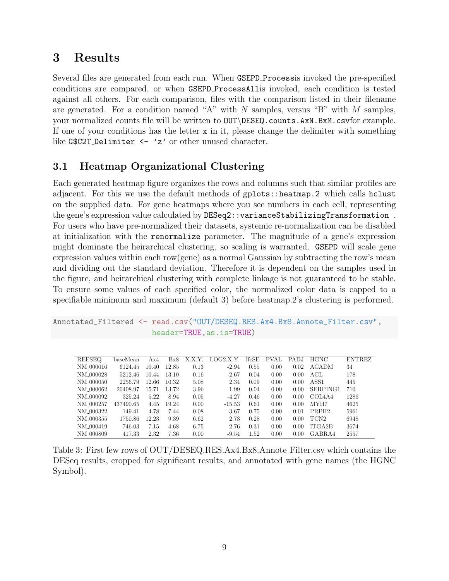# 3 Results

Several files are generated from each run. When GSEPD Processis invoked the pre-specified conditions are compared, or when GSEPD ProcessAllis invoked, each condition is tested against all others. For each comparison, files with the comparison listed in their filename are generated. For a condition named "A" with  $N$  samples, versus "B" with  $M$  samples, your normalized counts file will be written to OUT\DESEQ.counts.AxN.BxM.csvfor example. If one of your conditions has the letter  $x$  in it, please change the delimiter with something like G\$C2T\_Delimiter <- 'z' or other unused character.

### 3.1 Heatmap Organizational Clustering

Each generated heatmap figure organizes the rows and columns such that similar profiles are adjacent. For this we use the default methods of gplots::heatmap.2 which calls hclust on the supplied data. For gene heatmaps where you see numbers in each cell, representing the gene's expression value calculated by DESeq2::varianceStabilizingTransformation . For users who have pre-normalized their datasets, systemic re-normalization can be disabled at initialization with the renormalize parameter. The magnitude of a gene's expression might dominate the heirarchical clustering, so scaling is warranted. GSEPD will scale gene expression values within each row(gene) as a normal Gaussian by subtracting the row's mean and dividing out the standard deviation. Therefore it is dependent on the samples used in the figure, and heirarchical clustering with complete linkage is not guaranteed to be stable. To ensure some values of each specified color, the normalized color data is capped to a specifiable minimum and maximum (default 3) before heatmap.2's clustering is performed.

```
Annotated_Filtered <- read.csv("OUT/DESEQ.RES.Ax4.Bx8.Annote_Filter.csv",
                      header=TRUE,as.is=TRUE)
```

| <b>REFSEQ</b>         | baseMean  | Ax4   | Bx8   | .X.Y<br>Х. | LOG2.X.Y. | lfcSE | PVAL | PADJ | <b>HGNC</b>                     | <b>ENTREZ</b> |
|-----------------------|-----------|-------|-------|------------|-----------|-------|------|------|---------------------------------|---------------|
| NM_000016             | 6124.45   | 10.40 | 12.85 | 0.13       | $-2.94$   | 0.55  | 0.00 | 0.02 | <b>ACADM</b>                    | 34            |
| NM_000028             | 5212.46   | 10.44 | 13.10 | 0.16       | $-2.67$   | 0.04  | 0.00 | 0.00 | AGL                             | 178           |
| NM_000050             | 2256.79   | 12.66 | 10.32 | 5.08       | 2.34      | 0.09  | 0.00 | 0.00 | ASS1                            | 445           |
| NM_000062             | 20408.97  | 15.71 | 13.72 | 3.96       | 1.99      | 0.04  | 0.00 | 0.00 | SERPING1                        | 710           |
| NM_000092             | 325.24    | 5.22  | 8.94  | 0.05       | $-4.27$   | 0.46  | 0.00 | 0.00 | COL <sub>4</sub> A <sub>4</sub> | 1286          |
| NM <sub>-000257</sub> | 437490.65 | 4.45  | 19.24 | 0.00       | $-15.53$  | 0.61  | 0.00 | 0.00 | MYH7                            | 4625          |
| NM 000322             | 149.41    | 4.78  | 7.44  | 0.08       | $-3.67$   | 0.75  | 0.00 | 0.01 | PRPH <sub>2</sub>               | 5961          |
| NM 000355             | 1750.86   | 12.23 | 9.39  | 6.62       | 2.73      | 0.28  | 0.00 | 0.00 | TCN <sub>2</sub>                | 6948          |
| NM 000419             | 746.03    | 7.15  | 4.68  | 6.75       | 2.76      | 0.31  | 0.00 | 0.00 | ITGA2B                          | 3674          |
| NM <sub>-000809</sub> | 417.33    | 2.32  | 7.36  | 0.00       | $-9.54$   | 1.52  | 0.00 | 0.00 | GABRA4                          | 2557          |

Table 3: First few rows of OUT/DESEQ.RES.Ax4.Bx8.Annote Filter.csv which contains the DESeq results, cropped for significant results, and annotated with gene names (the HGNC Symbol).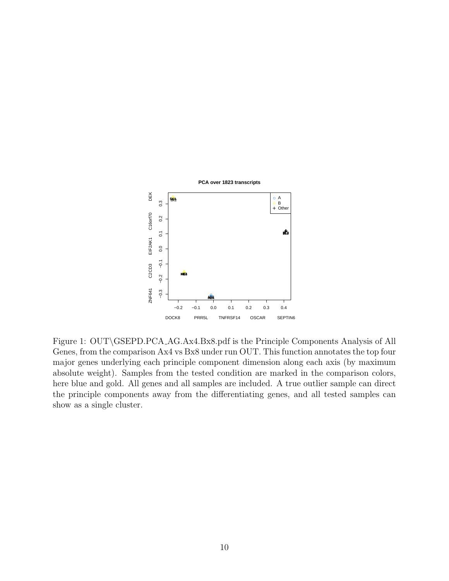

Figure 1: OUT\GSEPD.PCA AG.Ax4.Bx8.pdf is the Principle Components Analysis of All Genes, from the comparison Ax4 vs Bx8 under run OUT. This function annotates the top four major genes underlying each principle component dimension along each axis (by maximum absolute weight). Samples from the tested condition are marked in the comparison colors, here blue and gold. All genes and all samples are included. A true outlier sample can direct the principle components away from the differentiating genes, and all tested samples can show as a single cluster.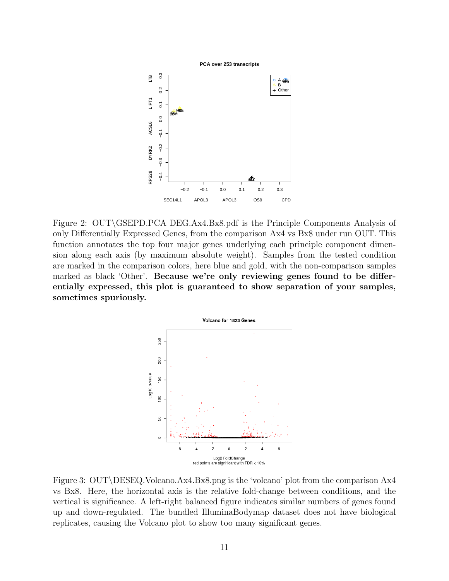

Figure 2: OUT\GSEPD.PCA DEG.Ax4.Bx8.pdf is the Principle Components Analysis of only Differentially Expressed Genes, from the comparison Ax4 vs Bx8 under run OUT. This function annotates the top four major genes underlying each principle component dimension along each axis (by maximum absolute weight). Samples from the tested condition are marked in the comparison colors, here blue and gold, with the non-comparison samples marked as black 'Other'. Because we're only reviewing genes found to be differentially expressed, this plot is guaranteed to show separation of your samples, sometimes spuriously.



Figure 3: OUT\DESEQ.Volcano.Ax4.Bx8.png is the 'volcano' plot from the comparison Ax4 vs Bx8. Here, the horizontal axis is the relative fold-change between conditions, and the vertical is significance. A left-right balanced figure indicates similar numbers of genes found up and down-regulated. The bundled IlluminaBodymap dataset does not have biological replicates, causing the Volcano plot to show too many significant genes.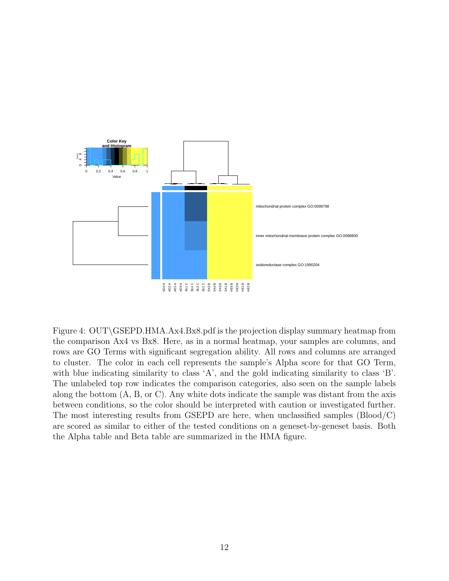

Figure 4: OUT\GSEPD.HMA.Ax4.Bx8.pdf is the projection display summary heatmap from the comparison Ax4 vs Bx8. Here, as in a normal heatmap, your samples are columns, and rows are GO Terms with significant segregation ability. All rows and columns are arranged to cluster. The color in each cell represents the sample's Alpha score for that GO Term, with blue indicating similarity to class 'A', and the gold indicating similarity to class 'B'. The unlabeled top row indicates the comparison categories, also seen on the sample labels along the bottom (A, B, or C). Any white dots indicate the sample was distant from the axis between conditions, so the color should be interpreted with caution or investigated further. The most interesting results from GSEPD are here, when unclassified samples (Blood/C) are scored as similar to either of the tested conditions on a geneset-by-geneset basis. Both the Alpha table and Beta table are summarized in the HMA figure.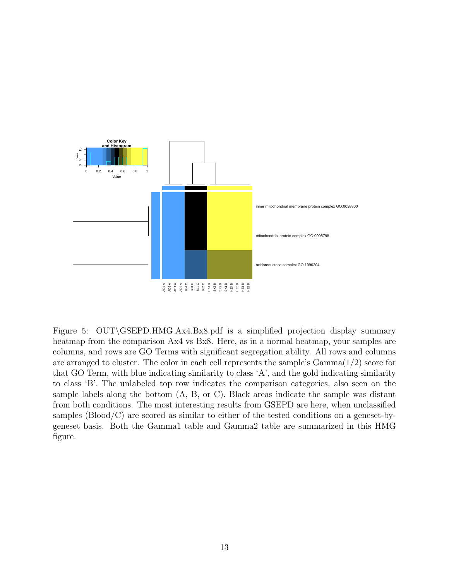

Figure 5: OUT\GSEPD.HMG.Ax4.Bx8.pdf is a simplified projection display summary heatmap from the comparison Ax4 vs Bx8. Here, as in a normal heatmap, your samples are columns, and rows are GO Terms with significant segregation ability. All rows and columns are arranged to cluster. The color in each cell represents the sample's  $Gamma(1/2)$  score for that GO Term, with blue indicating similarity to class 'A', and the gold indicating similarity to class 'B'. The unlabeled top row indicates the comparison categories, also seen on the sample labels along the bottom (A, B, or C). Black areas indicate the sample was distant from both conditions. The most interesting results from GSEPD are here, when unclassified samples (Blood/C) are scored as similar to either of the tested conditions on a geneset-bygeneset basis. Both the Gamma1 table and Gamma2 table are summarized in this HMG figure.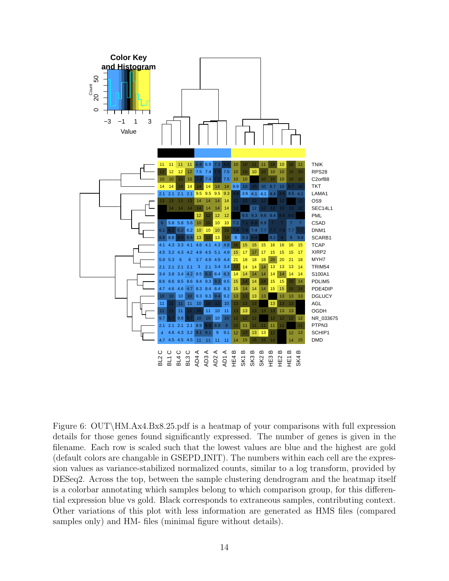

Figure 6: OUT\HM.Ax4.Bx8.25.pdf is a heatmap of your comparisons with full expression details for those genes found significantly expressed. The number of genes is given in the filename. Each row is scaled such that the lowest values are blue and the highest are gold (default colors are changable in GSEPD INIT). The numbers within each cell are the expression values as variance-stabilized normalized counts, similar to a log transform, provided by DESeq2. Across the top, between the sample clustering dendrogram and the heatmap itself is a colorbar annotating which samples belong to which comparison group, for this differential expression blue vs gold. Black corresponds to extraneous samples, contributing context. Other variations of this plot with less information are generated as HMS files (compared samples only) and HM- files (minimal figure without details).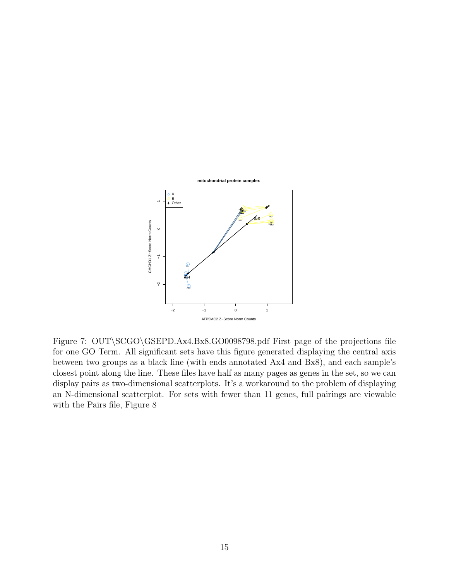

Figure 7: OUT\SCGO\GSEPD.Ax4.Bx8.GO0098798.pdf First page of the projections file for one GO Term. All significant sets have this figure generated displaying the central axis between two groups as a black line (with ends annotated Ax4 and Bx8), and each sample's closest point along the line. These files have half as many pages as genes in the set, so we can display pairs as two-dimensional scatterplots. It's a workaround to the problem of displaying an N-dimensional scatterplot. For sets with fewer than 11 genes, full pairings are viewable with the Pairs file, Figure 8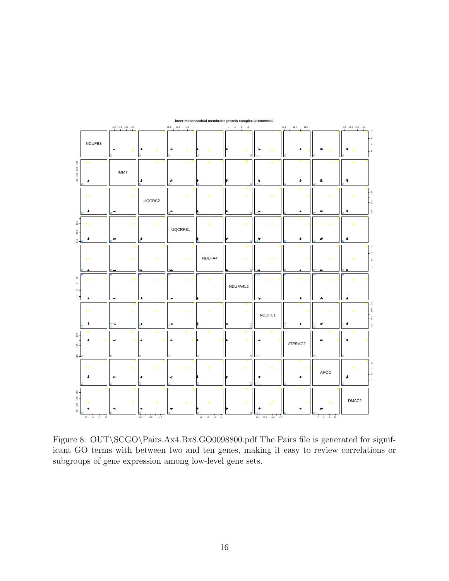

**inner mitochondrial membrane protein complex GO:0098800**

Figure 8: OUT\SCGO\Pairs.Ax4.Bx8.GO0098800.pdf The Pairs file is generated for significant GO terms with between two and ten genes, making it easy to review correlations or subgroups of gene expression among low-level gene sets.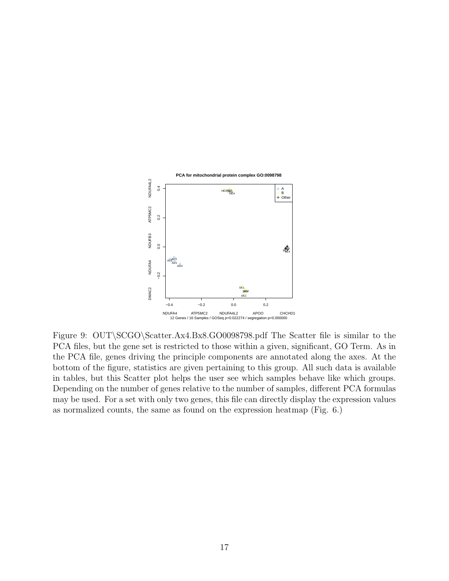

Figure 9: OUT\SCGO\Scatter.Ax4.Bx8.GO0098798.pdf The Scatter file is similar to the PCA files, but the gene set is restricted to those within a given, significant, GO Term. As in the PCA file, genes driving the principle components are annotated along the axes. At the bottom of the figure, statistics are given pertaining to this group. All such data is available in tables, but this Scatter plot helps the user see which samples behave like which groups. Depending on the number of genes relative to the number of samples, different PCA formulas may be used. For a set with only two genes, this file can directly display the expression values as normalized counts, the same as found on the expression heatmap (Fig. 6.)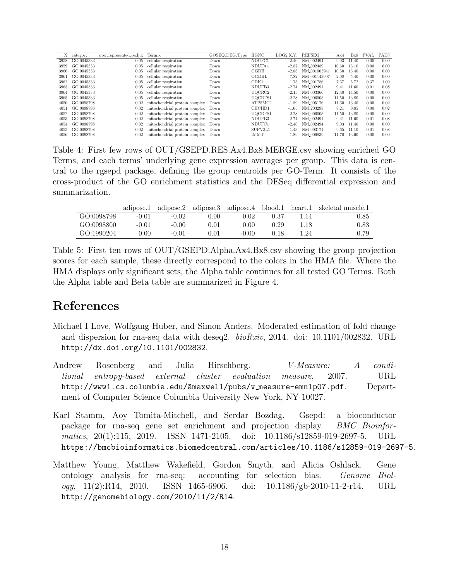| X<br>category<br>GO:0045333<br>3958<br>GO:0045333<br>3959 | over_represented_padj.x<br>0.05<br>0.05 | Term.x<br>cellular respiration | GOSEQ_DEG_Type<br>Down | HGNC<br>NDUFC1     | LOG2.X.Y. | <b>REFSEO</b>         | Ax4   | Bx8   | <b>PVAL</b> | PADJ |
|-----------------------------------------------------------|-----------------------------------------|--------------------------------|------------------------|--------------------|-----------|-----------------------|-------|-------|-------------|------|
|                                                           |                                         |                                |                        |                    |           |                       |       |       |             |      |
|                                                           |                                         |                                |                        |                    | $-2.46$   | NM 002494             | 9.03  | 11.40 | 0.00        | 0.00 |
|                                                           |                                         | cellular respiration           | Down                   | NDUFA4             | -2.87     | NM <sub>-002489</sub> | 10.60 | 13.10 | 0.00        | 0.00 |
| GO:0045333<br>3960                                        | 0.05                                    | cellular respiration           | Down                   | OGDH               | $-2.88$   | NM_001003941          | 10.50 | 13.40 | 0.00        | 0.00 |
| GO:0045333<br>3961                                        | 0.05                                    | cellular respiration           | Down                   | OGDHL              | $-7.82$   | NM_001143997          | 2.08  | 5.40  | 0.00        | 0.00 |
| GO:0045333<br>3962                                        | 0.05                                    | cellular respiration           | Down                   | CDK1               | 1.75      | NM 001786             | 7.67  | 5.72  | 0.37        | 1.00 |
| GO:0045333<br>3963                                        | 0.05                                    | cellular respiration           | Down                   | NDUFB <sub>3</sub> | $-2.74$   | NM 002491             | 9.41  | 11.60 | 0.01        | 0.08 |
| GO:0045333<br>3964                                        | 0.05                                    | cellular respiration           | Down                   | UOCRC2             | $-2.15$   | NM <sub>-003366</sub> | 12.40 | 14.50 | 0.00        | 0.00 |
| 3965<br>GO:0045333                                        | 0.05                                    | cellular respiration           | Down                   | UOCRFS1            | $-2.28$   | NM_006003             | 11.50 | 13.80 | 0.00        | 0.00 |
| GO:0098798<br>4050                                        | 0.02                                    | mitochondrial protein complex  | Down                   | ATP5MC2            | $-1.89$   | NM <sub>-005176</sub> | 11.60 | 13.40 | 0.00        | 0.02 |
| GO:0098798<br>4051                                        | 0.02                                    | mitochondrial protein complex  | Down                   | CHCH <sub>D1</sub> | $-1.65$   | NM 203298             | 8.21  | 9.85  | 0.00        | 0.02 |
| 4052<br>GO:0098798                                        | 0.02                                    | mitochondrial protein complex  | Down                   | UOCRFS1            | $-2.28$   | NM_006003             | 11.50 | 13.80 | 0.00        | 0.00 |
| GO:0098798<br>4053                                        | 0.02                                    | mitochondrial protein complex  | Down                   | NDUFB3             | $-2.74$   | NM_002491             | 9.41  | 11.60 | 0.01        | 0.08 |
| GO:0098798<br>4054                                        | 0.02                                    | mitochondrial protein complex  | Down                   | NDUFC1             | $-2.46$   | NM 002494             | 9.03  | 11.40 | 0.00        | 0.00 |
| 4055<br>GO:0098798                                        | 0.02                                    | mitochondrial protein complex  | Down                   | SUPV3L1            | $-1.43$   | NM <sub>-003171</sub> | 9.65  | 11.10 | 0.01        | 0.08 |
| GO:0098798<br>4056                                        | 0.02                                    | mitochondrial protein complex  | Down                   | <b>IMMT</b>        | $-1.89$   | NM <sub>-006839</sub> | 11.70 | 13.60 | 0.00        | 0.00 |

Table 4: First few rows of OUT/GSEPD.RES.Ax4.Bx8.MERGE.csv showing enriched GO Terms, and each terms' underlying gene expression averages per group. This data is central to the rgsepd package, defining the group centroids per GO-Term. It consists of the cross-product of the GO enrichment statistics and the DESeq differential expression and summarization.

|            | adipose.1 | adipose.2 |      | adipose.3 adipose.4 | blood.1 | heart.1 | skeletal_muscle.1 |
|------------|-----------|-----------|------|---------------------|---------|---------|-------------------|
| GO:0098798 | $-0.01$   | $-0.02$   | 0.00 | 0.02                | 0.37    | 1.14    | 0.85              |
| GO:0098800 | -0.01     | $-0.00$   | 0.01 | 0.00                | 0.29    | 1.18    | 0.83              |
| GO:1990204 | 0.00      | $-0.01$   | N 01 | $-0.00$             | N 18    | 1.24    | 0.79              |

Table 5: First ten rows of OUT/GSEPD.Alpha.Ax4.Bx8.csv showing the group projection scores for each sample, these directly correspond to the colors in the HMA file. Where the HMA displays only significant sets, the Alpha table continues for all tested GO Terms. Both the Alpha table and Beta table are summarized in Figure 4.

# References

- Michael I Love, Wolfgang Huber, and Simon Anders. Moderated estimation of fold change and dispersion for rna-seq data with deseq2.  $bioRxiv$ , 2014. doi: 10.1101/002832. URL http://dx.doi.org/10.1101/002832.
- Andrew Rosenberg and Julia Hirschberg. *V-Measure: A condi*tional entropy-based external cluster evaluation measure, 2007. URL http://www1.cs.columbia.edu/amaxwell/pubs/v\_measure-emnlp07.pdf. Department of Computer Science Columbia University New York, NY 10027.
- Karl Stamm, Aoy Tomita-Mitchell, and Serdar Bozdag. Gsepd: a bioconductor package for rna-seq gene set enrichment and projection display. BMC Bioinformatics, 20(1):115, 2019. ISSN 1471-2105. doi: 10.1186/s12859-019-2697-5. URL https://bmcbioinformatics.biomedcentral.com/articles/10.1186/s12859-019-2697-5.
- Matthew Young, Matthew Wakefield, Gordon Smyth, and Alicia Oshlack. Gene ontology analysis for rna-seq: accounting for selection bias. Genome Biology, 11(2):R14, 2010. ISSN 1465-6906. doi: 10.1186/gb-2010-11-2-r14. URL http://genomebiology.com/2010/11/2/R14.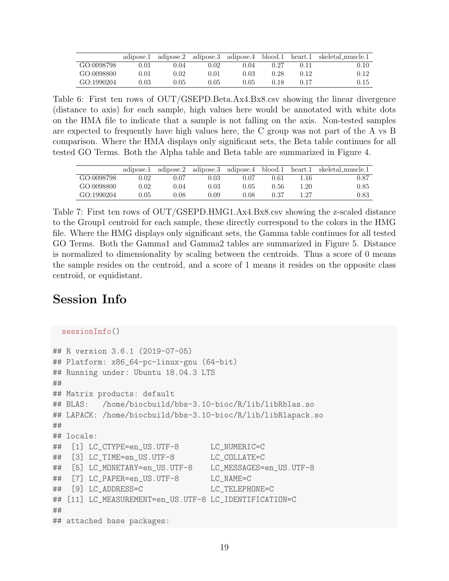|            | adipose.1 |      |      | adipose.2 adipose.3 adipose.4 blood.1 |      | heart.1 | skeletal_muscle.1 |
|------------|-----------|------|------|---------------------------------------|------|---------|-------------------|
| GO:0098798 | 0.01      | 0.04 | D.O2 | 0.04                                  | 0.27 | 0.11    | 0.10              |
| GO:0098800 | 0.01      | 0.02 | 0.01 | 0.03                                  | 0.28 | 0.12    | 0.12-             |
| GO:1990204 | 9.03-     | 0.05 | 2.05 | 0.05                                  | 0.18 | 0.17    | 0.15              |

Table 6: First ten rows of OUT/GSEPD.Beta.Ax4.Bx8.csv showing the linear divergence (distance to axis) for each sample, high values here would be annotated with white dots on the HMA file to indicate that a sample is not falling on the axis. Non-tested samples are expected to frequently have high values here, the C group was not part of the A vs B comparison. Where the HMA displays only significant sets, the Beta table continues for all tested GO Terms. Both the Alpha table and Beta table are summarized in Figure 4.

|            | adipose.1 | adipose.2 |      | adipose.3 adipose.4 blood.1 |      | heart.1 | skeletal_muscle.1 |
|------------|-----------|-----------|------|-----------------------------|------|---------|-------------------|
| GO:0098798 | 0.02      | 0.07      | 0.03 | 0.07                        | 0.61 | 1.16    | 0.87              |
| GO:0098800 | 0.02      | 0.04      | 0.03 | 0.05                        | 0.56 | 1.20    | 0.85              |
| GQ:1990204 | 0.05      | 0.08      | 0.09 | 0.08                        | 0.37 | 1.27    | 0.83              |

Table 7: First ten rows of OUT/GSEPD.HMG1.Ax4.Bx8.csv showing the z-scaled distance to the Group1 centroid for each sample, these directly correspond to the colors in the HMG file. Where the HMG displays only significant sets, the Gamma table continues for all tested GO Terms. Both the Gamma1 and Gamma2 tables are summarized in Figure 5. Distance is normalized to dimensionality by scaling between the centroids. Thus a score of 0 means the sample resides on the centroid, and a score of 1 means it resides on the opposite class centroid, or equidistant.

# Session Info

```
sessionInfo()
## R version 3.6.1 (2019-07-05)
## Platform: x86_64-pc-linux-gnu (64-bit)
## Running under: Ubuntu 18.04.3 LTS
##
## Matrix products: default
## BLAS: /home/biocbuild/bbs-3.10-bioc/R/lib/libRblas.so
## LAPACK: /home/biocbuild/bbs-3.10-bioc/R/lib/libRlapack.so
##
## locale:
## [1] LC_CTYPE=en_US.UTF-8 LC_NUMERIC=C
## [3] LC_TIME=en_US.UTF-8 LC_COLLATE=C
## [5] LC_MONETARY=en_US.UTF-8 LC_MESSAGES=en_US.UTF-8
## [7] LC_PAPER=en_US.UTF-8 LC_NAME=C
## [9] LC_ADDRESS=C LC_TELEPHONE=C
## [11] LC_MEASUREMENT=en_US.UTF-8 LC_IDENTIFICATION=C
##
## attached base packages:
```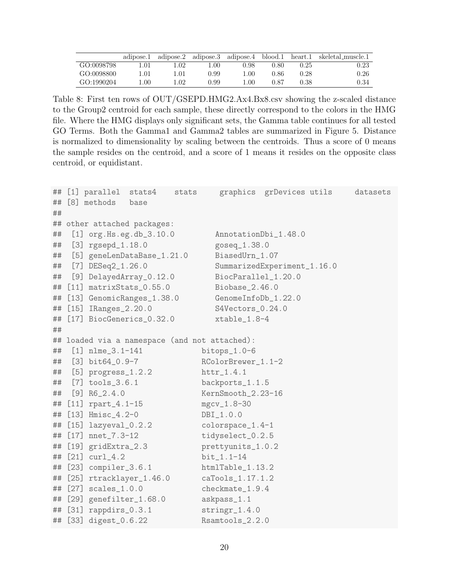|            | adipose.1 |          |      | adipose.2 adipose.3 adipose.4 blood.1 |      | heart.1 | skeletal muscle.1 |
|------------|-----------|----------|------|---------------------------------------|------|---------|-------------------|
| GO:0098798 | ۔01، ۱    | L.O2     | 1.00 | 0.98                                  | 0.80 | 0.25    | 0.23              |
| GO:0098800 | LO1.      | $\pm 01$ | 0.99 | .00                                   | J.86 | 0.28    | 0.26              |
| GO:1990204 | .00.      | .02      | 0.99 | .00.                                  | በ 87 | 0.38    | 0.34              |

Table 8: First ten rows of OUT/GSEPD.HMG2.Ax4.Bx8.csv showing the z-scaled distance to the Group2 centroid for each sample, these directly correspond to the colors in the HMG file. Where the HMG displays only significant sets, the Gamma table continues for all tested GO Terms. Both the Gamma1 and Gamma2 tables are summarized in Figure 5. Distance is normalized to dimensionality by scaling between the centroids. Thus a score of 0 means the sample resides on the centroid, and a score of 1 means it resides on the opposite class centroid, or equidistant.

|    | ## [1] parallel         | stats4                        | stats |                                               | graphics grDevices utils    | datasets |
|----|-------------------------|-------------------------------|-------|-----------------------------------------------|-----------------------------|----------|
|    | ## [8] methods          | base                          |       |                                               |                             |          |
| ## |                         |                               |       |                                               |                             |          |
|    |                         | ## other attached packages:   |       |                                               |                             |          |
| ## |                         | $[1]$ org. Hs.eg.db $_3.10.0$ |       | AnnotationDbi_1.48.0                          |                             |          |
| ## | $[3]$ rgsepd $_1.18.0$  |                               |       | goseq_1.38.0                                  |                             |          |
| ## |                         | [5] geneLenDataBase_1.21.0    |       | BiasedUrn_1.07                                |                             |          |
| ## | [7] $DESeq2_1.26.0$     |                               |       |                                               | SummarizedExperiment_1.16.0 |          |
| ## |                         | [9] DelayedArray_0.12.0       |       | BiocParallel_1.20.0                           |                             |          |
| ## |                         | $[11]$ matrixStats $_0.55.0$  |       | Biobase_2.46.0                                |                             |          |
|    |                         | ## [13] GenomicRanges_1.38.0  |       | GenomeInfoDb_1.22.0                           |                             |          |
|    | ## [15] IRanges_2.20.0  |                               |       | S4Vectors_0.24.0                              |                             |          |
|    |                         | ## [17] BiocGenerics_0.32.0   |       | xtable_1.8-4                                  |                             |          |
| ## |                         |                               |       |                                               |                             |          |
|    |                         |                               |       | ## loaded via a namespace (and not attached): |                             |          |
| ## | $[1]$ nlme $-3.1-141$   |                               |       | bitops $_1.0-6$                               |                             |          |
| ## | $[3]$ bit64_0.9-7       |                               |       | RColorBrewer_1.1-2                            |                             |          |
| ## | $[5]$ progress $-1.2.2$ |                               |       |                                               |                             |          |
| ## | $[7]$ tools_3.6.1       |                               |       | backports_1.1.5                               |                             |          |
| ## | $[9]$ R6_2.4.0          |                               |       | KernSmooth_2.23-16                            |                             |          |
| ## | $[11]$ rpart_4.1-15     |                               |       | $mgcv_1.8-30$                                 |                             |          |
|    | ## [13] Hmisc_4.2-0     |                               |       | $DBI_1.0.0$                                   |                             |          |
| ## | $[15]$ lazyeval_0.2.2   |                               |       | colorspace_1.4-1                              |                             |          |
|    | ## [17] nnet_7.3-12     |                               |       | tidyselect_0.2.5                              |                             |          |
|    | ## [19] gridExtra_2.3   |                               |       | prettyunits_1.0.2                             |                             |          |
| ## | $[21] \quad curl_4.2$   |                               |       | $bit_1.1-14$                                  |                             |          |
|    | ## [23] compiler_3.6.1  |                               |       | htmlTable_1.13.2                              |                             |          |
|    |                         | ## [25] rtracklayer_1.46.0    |       | caTools_1.17.1.2                              |                             |          |
| ## | $[27]$ scales $\_1.0.0$ |                               |       | checkmate_1.9.4                               |                             |          |
|    |                         | ## [29] genefilter_1.68.0     |       | askpass_1.1                                   |                             |          |
|    | ## [31] rappdirs_0.3.1  |                               |       | $stringr_1.4.0$                               |                             |          |
|    | ## [33] digest_0.6.22   |                               |       | Rsamtools_2.2.0                               |                             |          |